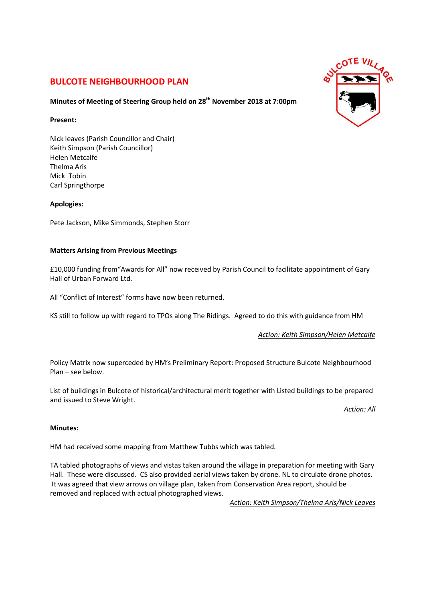# **BULCOTE NEIGHBOURHOOD PLAN**

# **Minutes of Meeting of Steering Group held on 28th November 2018 at 7:00pm**

## **Present:**

Nick leaves (Parish Councillor and Chair) Keith Simpson (Parish Councillor) Helen Metcalfe Thelma Aris Mick Tobin Carl Springthorpe

## **Apologies:**

Pete Jackson, Mike Simmonds, Stephen Storr

## **Matters Arising from Previous Meetings**

£10,000 funding from"Awards for All" now received by Parish Council to facilitate appointment of Gary Hall of Urban Forward Ltd.

All "Conflict of Interest" forms have now been returned.

KS still to follow up with regard to TPOs along The Ridings. Agreed to do this with guidance from HM

*Action: Keith Simpson/Helen Metcalfe*

Policy Matrix now superceded by HM's Preliminary Report: Proposed Structure Bulcote Neighbourhood Plan – see below.

List of buildings in Bulcote of historical/architectural merit together with Listed buildings to be prepared and issued to Steve Wright.

*Action: All*

## **Minutes:**

HM had received some mapping from Matthew Tubbs which was tabled.

TA tabled photographs of views and vistas taken around the village in preparation for meeting with Gary Hall. These were discussed. CS also provided aerial views taken by drone. NL to circulate drone photos. It was agreed that view arrows on village plan, taken from Conservation Area report, should be removed and replaced with actual photographed views.

*Action: Keith Simpson/Thelma Aris/Nick Leaves*